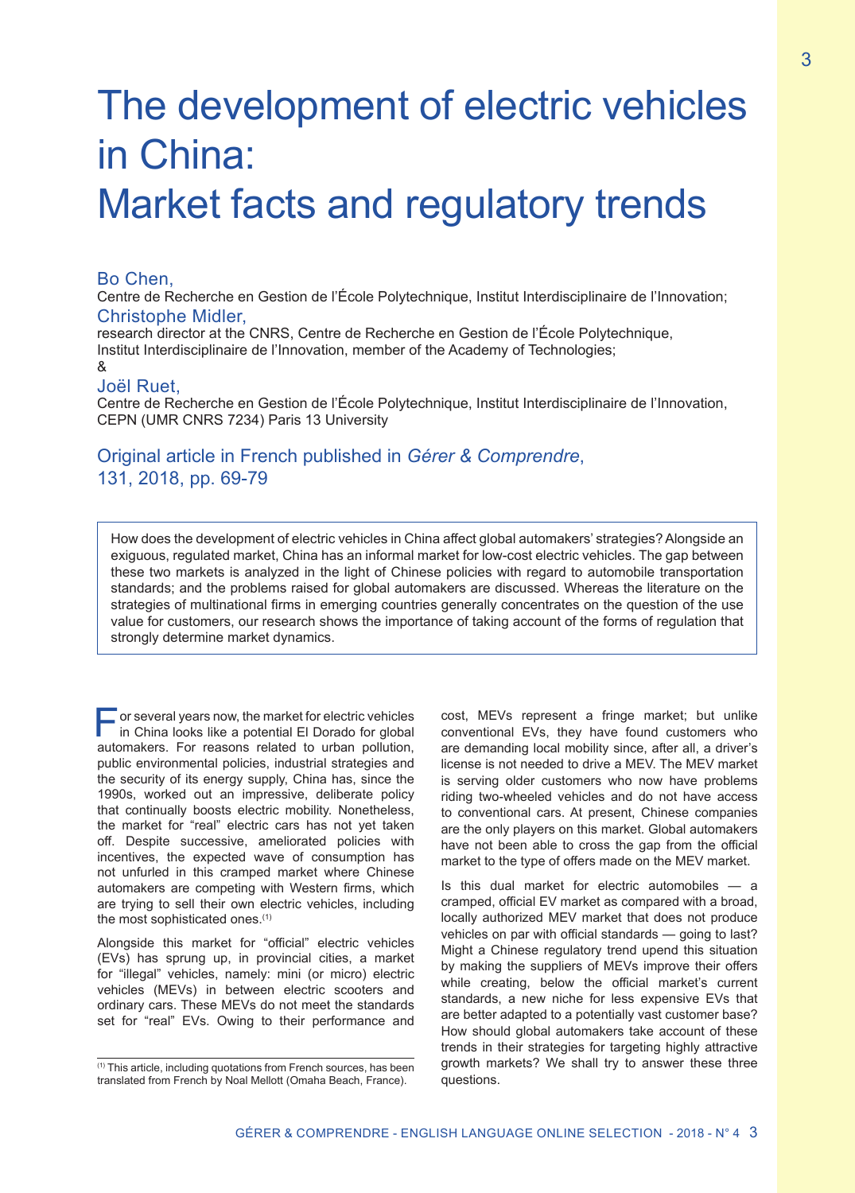# The development of electric vehicles in China: Market facts and regulatory trends

### Bo Chen,

Centre de Recherche en Gestion de l'École Polytechnique, Institut Interdisciplinaire de l'Innovation; Christophe Midler,

research director at the CNRS, Centre de Recherche en Gestion de l'École Polytechnique, Institut Interdisciplinaire de l'Innovation, member of the Academy of Technologies; &

## Joël Ruet,

Centre de Recherche en Gestion de l'École Polytechnique, Institut Interdisciplinaire de l'Innovation, CEPN (UMR CNRS 7234) Paris 13 University

# Original article in French published in *Gérer & Comprendre*, 131, 2018, pp. 69-79

How does the development of electric vehicles in China affect global automakers' strategies? Alongside an exiguous, regulated market, China has an informal market for low-cost electric vehicles. The gap between these two markets is analyzed in the light of Chinese policies with regard to automobile transportation standards; and the problems raised for global automakers are discussed. Whereas the literature on the strategies of multinational firms in emerging countries generally concentrates on the question of the use value for customers, our research shows the importance of taking account of the forms of regulation that strongly determine market dynamics.

 $\overline{\phantom{a}}$  or several years now, the market for electric vehicles in China looks like a potential El Dorado for global automakers. For reasons related to urban pollution, public environmental policies, industrial strategies and the security of its energy supply, China has, since the 1990s, worked out an impressive, deliberate policy that continually boosts electric mobility. Nonetheless, the market for "real" electric cars has not yet taken off. Despite successive, ameliorated policies with incentives, the expected wave of consumption has not unfurled in this cramped market where Chinese automakers are competing with Western firms, which are trying to sell their own electric vehicles, including the most sophisticated ones.<sup>(1)</sup>

Alongside this market for "official" electric vehicles (EVs) has sprung up, in provincial cities, a market for "illegal" vehicles, namely: mini (or micro) electric vehicles (MEVs) in between electric scooters and ordinary cars. These MEVs do not meet the standards set for "real" EVs. Owing to their performance and

cost, MEVs represent a fringe market; but unlike conventional EVs, they have found customers who are demanding local mobility since, after all, a driver's license is not needed to drive a MEV. The MEV market is serving older customers who now have problems riding two-wheeled vehicles and do not have access to conventional cars. At present, Chinese companies are the only players on this market. Global automakers have not been able to cross the gap from the official market to the type of offers made on the MEV market.

Is this dual market for electric automobiles — a cramped, official EV market as compared with a broad, locally authorized MEV market that does not produce vehicles on par with official standards — going to last? Might a Chinese regulatory trend upend this situation by making the suppliers of MEVs improve their offers while creating, below the official market's current standards, a new niche for less expensive EVs that are better adapted to a potentially vast customer base? How should global automakers take account of these trends in their strategies for targeting highly attractive growth markets? We shall try to answer these three questions.

 $(1)$  This article, including quotations from French sources, has been translated from French by Noal Mellott (Omaha Beach, France).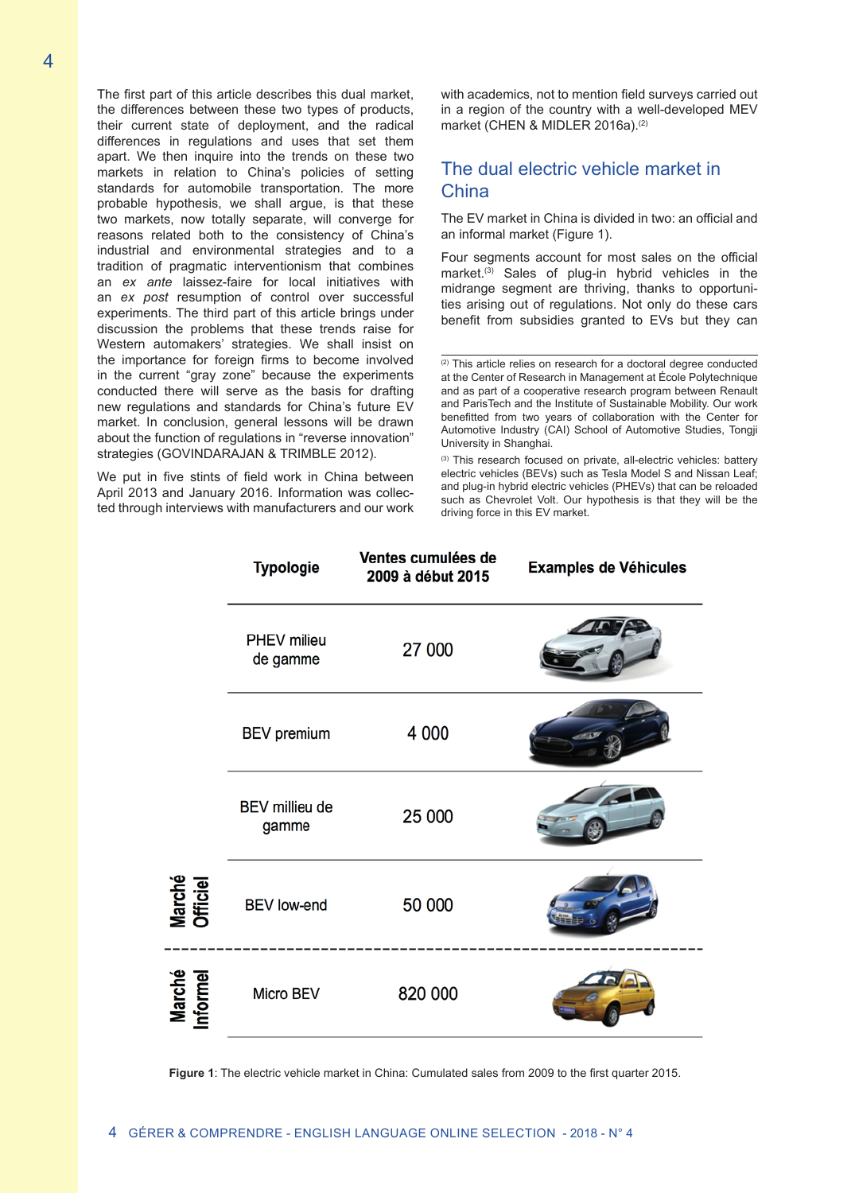The first part of this article describes this dual market, the differences between these two types of products, their current state of deployment, and the radical differences in regulations and uses that set them apart. We then inquire into the trends on these two markets in relation to China's policies of setting standards for automobile transportation. The more probable hypothesis, we shall argue, is that these two markets, now totally separate, will converge for reasons related both to the consistency of China's industrial and environmental strategies and to a tradition of pragmatic interventionism that combines an *ex ante* laissez-faire for local initiatives with an *ex post* resumption of control over successful experiments. The third part of this article brings under discussion the problems that these trends raise for Western automakers' strategies. We shall insist on the importance for foreign firms to become involved in the current "gray zone" because the experiments conducted there will serve as the basis for drafting new regulations and standards for China's future EV market. In conclusion, general lessons will be drawn about the function of regulations in "reverse innovation" strategies (GOVINDARAJAN & TRIMBLE 2012).

We put in five stints of field work in China between April 2013 and January 2016. Information was collected through interviews with manufacturers and our work with academics, not to mention field surveys carried out in a region of the country with a well-developed MEV market (CHEN & MIDLER 2016a).<sup>(2)</sup>

## The dual electric vehicle market in **China**

The EV market in China is divided in two: an official and an informal market (Figure 1).

Four segments account for most sales on the official market.<sup>(3)</sup> Sales of plug-in hybrid vehicles in the midrange segment are thriving, thanks to opportunities arising out of regulations. Not only do these cars benefit from subsidies granted to EVs but they can

<sup>(3)</sup> This research focused on private, all-electric vehicles: battery electric vehicles (BEVs) such as Tesla Model S and Nissan Leaf; and plug-in hybrid electric vehicles (PHEVs) that can be reloaded such as Chevrolet Volt. Our hypothesis is that they will be the driving force in this EV market.



**Figure 1**: The electric vehicle market in China: Cumulated sales from 2009 to the first quarter 2015.

<sup>(2)</sup> This article relies on research for a doctoral degree conducted at the Center of Research in Management at École Polytechnique and as part of a cooperative research program between Renault and ParisTech and the Institute of Sustainable Mobility. Our work benefitted from two years of collaboration with the Center for Automotive Industry (CAI) School of Automotive Studies, Tongji University in Shanghai.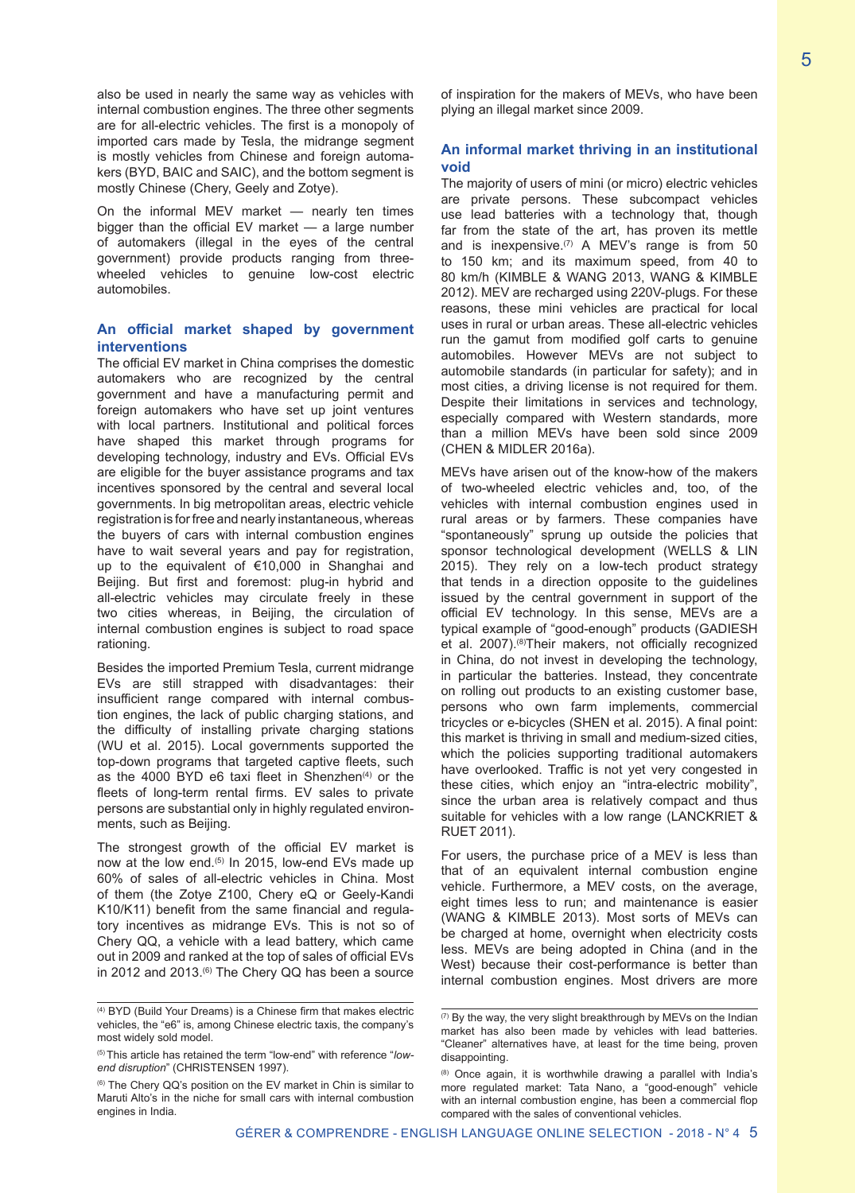also be used in nearly the same way as vehicles with internal combustion engines. The three other segments are for all-electric vehicles. The first is a monopoly of imported cars made by Tesla, the midrange segment is mostly vehicles from Chinese and foreign automakers (BYD, BAIC and SAIC), and the bottom segment is mostly Chinese (Chery, Geely and Zotye).

On the informal MEV market — nearly ten times bigger than the official EV market — a large number of automakers (illegal in the eyes of the central government) provide products ranging from threewheeled vehicles to genuine low-cost electric automobiles.

#### **An official market shaped by government interventions**

The official EV market in China comprises the domestic automakers who are recognized by the central government and have a manufacturing permit and foreign automakers who have set up joint ventures with local partners. Institutional and political forces have shaped this market through programs for developing technology, industry and EVs. Official EVs are eligible for the buyer assistance programs and tax incentives sponsored by the central and several local governments. In big metropolitan areas, electric vehicle registration is for free and nearly instantaneous, whereas the buyers of cars with internal combustion engines have to wait several years and pay for registration, up to the equivalent of €10,000 in Shanghai and Beijing. But first and foremost: plug-in hybrid and all-electric vehicles may circulate freely in these two cities whereas, in Beijing, the circulation of internal combustion engines is subject to road space rationing.

Besides the imported Premium Tesla, current midrange EVs are still strapped with disadvantages: their insufficient range compared with internal combustion engines, the lack of public charging stations, and the difficulty of installing private charging stations (WU et al. 2015). Local governments supported the top-down programs that targeted captive fleets, such as the 4000 BYD e6 taxi fleet in Shenzhen $(4)$  or the fleets of long-term rental firms. EV sales to private persons are substantial only in highly regulated environments, such as Beijing.

The strongest growth of the official EV market is now at the low end.<sup>(5)</sup> In 2015, low-end EVs made up 60% of sales of all-electric vehicles in China. Most of them (the Zotye Z100, Chery eQ or Geely-Kandi K10/K11) benefit from the same financial and regulatory incentives as midrange EVs. This is not so of Chery QQ, a vehicle with a lead battery, which came out in 2009 and ranked at the top of sales of official EVs in 2012 and 2013. $(6)$  The Chery QQ has been a source of inspiration for the makers of MEVs, who have been plying an illegal market since 2009.

#### **An informal market thriving in an institutional void**

The majority of users of mini (or micro) electric vehicles are private persons. These subcompact vehicles use lead batteries with a technology that, though far from the state of the art, has proven its mettle and is inexpensive.<sup> $(7)$ </sup> A MEV's range is from 50 to 150 km; and its maximum speed, from 40 to 80 km/h (KIMBLE & WANG 2013, WANG & KIMBLE 2012). MEV are recharged using 220V-plugs. For these reasons, these mini vehicles are practical for local uses in rural or urban areas. These all-electric vehicles run the gamut from modified golf carts to genuine automobiles. However MEVs are not subject to automobile standards (in particular for safety); and in most cities, a driving license is not required for them. Despite their limitations in services and technology, especially compared with Western standards, more than a million MEVs have been sold since 2009 (CHEN & MIDLER 2016a).

MEVs have arisen out of the know-how of the makers of two-wheeled electric vehicles and, too, of the vehicles with internal combustion engines used in rural areas or by farmers. These companies have "spontaneously" sprung up outside the policies that sponsor technological development (WELLS & LIN 2015). They rely on a low-tech product strategy that tends in a direction opposite to the guidelines issued by the central government in support of the official EV technology. In this sense, MEVs are a typical example of "good-enough" products (GADIESH et al. 2007).<sup>(8)</sup>Their makers, not officially recognized in China, do not invest in developing the technology, in particular the batteries. Instead, they concentrate on rolling out products to an existing customer base, persons who own farm implements, commercial tricycles or e-bicycles (SHEN et al. 2015). A final point: this market is thriving in small and medium-sized cities, which the policies supporting traditional automakers have overlooked. Traffic is not yet very congested in these cities, which enjoy an "intra-electric mobility", since the urban area is relatively compact and thus suitable for vehicles with a low range (LANCKRIET & RUET 2011).

For users, the purchase price of a MEV is less than that of an equivalent internal combustion engine vehicle. Furthermore, a MEV costs, on the average, eight times less to run; and maintenance is easier (WANG & KIMBLE 2013). Most sorts of MEVs can be charged at home, overnight when electricity costs less. MEVs are being adopted in China (and in the West) because their cost-performance is better than internal combustion engines. Most drivers are more

<sup>(4)</sup> BYD (Build Your Dreams) is a Chinese firm that makes electric vehicles, the "e6" is, among Chinese electric taxis, the company's most widely sold model.

<sup>(5)</sup> This article has retained the term "low-end" with reference "*lowend disruption*" (CHRISTENSEN 1997).

<sup>&</sup>lt;sup>(6)</sup> The Chery QQ's position on the EV market in Chin is similar to Maruti Alto's in the niche for small cars with internal combustion engines in India.

<sup>(7)</sup> By the way, the very slight breakthrough by MEVs on the Indian market has also been made by vehicles with lead batteries. "Cleaner" alternatives have, at least for the time being, proven disappointing.

<sup>(8)</sup> Once again, it is worthwhile drawing a parallel with India's more regulated market: Tata Nano, a "good-enough" vehicle with an internal combustion engine, has been a commercial flop compared with the sales of conventional vehicles.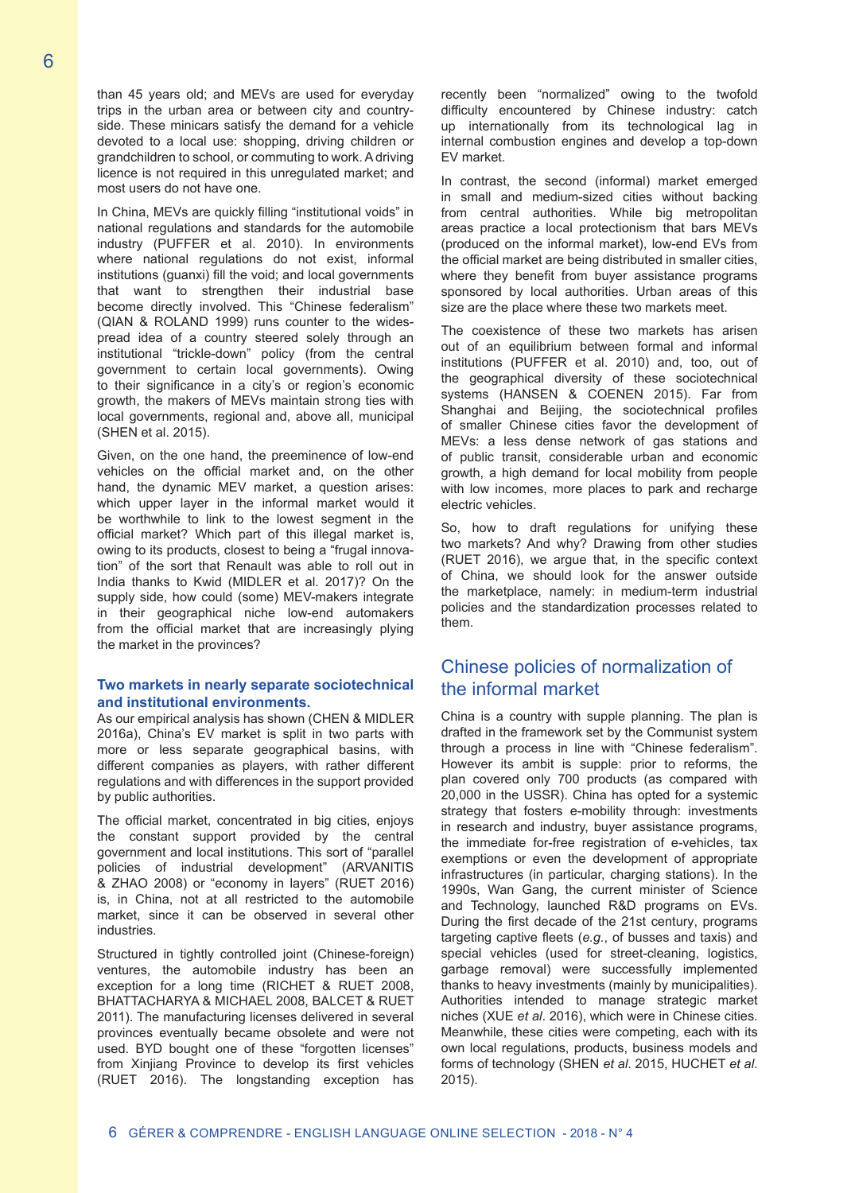than 45 years old; and MEVs are used for everyday trips in the urban area or between city and countryside. These minicars satisfy the demand for a vehicle devoted to a local use: shopping, driving children or grandchildren to school, or commuting to work. A driving licence is not required in this unregulated market; and most users do not have one.

In China, MEVs are quickly filling "institutional voids" in national regulations and standards for the automobile industry (PUFFER et al. 2010). In environments where national regulations do not exist, informal institutions (guanxi) fill the void; and local governments that want to strengthen their industrial base become directly involved. This "Chinese federalism" (QIAN & ROLAND 1999) runs counter to the widespread idea of a country steered solely through an institutional "trickle-down" policy (from the central government to certain local governments). Owing to their significance in a city's or region's economic growth, the makers of MEVs maintain strong ties with local governments, regional and, above all, municipal (SHEN et al. 2015).

Given, on the one hand, the preeminence of low-end vehicles on the official market and, on the other hand, the dynamic MEV market, a question arises: which upper layer in the informal market would it be worthwhile to link to the lowest segment in the official market? Which part of this illegal market is, owing to its products, closest to being a "frugal innovation" of the sort that Renault was able to roll out in India thanks to Kwid (MIDLER et al. 2017)? On the supply side, how could (some) MEV-makers integrate in their geographical niche low-end automakers from the official market that are increasingly plying the market in the provinces?

#### **Two markets in nearly separate sociotechnical and institutional environments.**

As our empirical analysis has shown (CHEN & MIDLER 2016a), China's EV market is split in two parts with more or less separate geographical basins, with different companies as players, with rather different regulations and with differences in the support provided by public authorities.

The official market, concentrated in big cities, enjoys the constant support provided by the central government and local institutions. This sort of "parallel policies of industrial development" (ARVANITIS & ZHAO 2008) or "economy in layers" (RUET 2016) is, in China, not at all restricted to the automobile market, since it can be observed in several other industries.

Structured in tightly controlled joint (Chinese-foreign) ventures, the automobile industry has been an exception for a long time (RICHET & RUET 2008, BHATTACHARYA & MICHAEL 2008, BALCET & RUET 2011). The manufacturing licenses delivered in several provinces eventually became obsolete and were not used. BYD bought one of these "forgotten licenses" from Xinjiang Province to develop its first vehicles (RUET 2016). The longstanding exception has recently been "normalized" owing to the twofold difficulty encountered by Chinese industry: catch up internationally from its technological lag in internal combustion engines and develop a top-down EV market.

In contrast, the second (informal) market emerged in small and medium-sized cities without backing from central authorities. While big metropolitan areas practice a local protectionism that bars MEVs (produced on the informal market), low-end EVs from the official market are being distributed in smaller cities, where they benefit from buyer assistance programs sponsored by local authorities. Urban areas of this size are the place where these two markets meet.

The coexistence of these two markets has arisen out of an equilibrium between formal and informal institutions (PUFFER et al. 2010) and, too, out of the geographical diversity of these sociotechnical systems (HANSEN & COENEN 2015). Far from Shanghai and Beijing, the sociotechnical profiles of smaller Chinese cities favor the development of MEVs: a less dense network of gas stations and of public transit, considerable urban and economic growth, a high demand for local mobility from people with low incomes, more places to park and recharge electric vehicles.

So, how to draft regulations for unifying these two markets? And why? Drawing from other studies (RUET 2016), we argue that, in the specific context of China, we should look for the answer outside the marketplace, namely: in medium-term industrial policies and the standardization processes related to them.

## Chinese policies of normalization of the informal market

China is a country with supple planning. The plan is drafted in the framework set by the Communist system through a process in line with "Chinese federalism". However its ambit is supple: prior to reforms, the plan covered only 700 products (as compared with 20,000 in the USSR). China has opted for a systemic strategy that fosters e-mobility through: investments in research and industry, buyer assistance programs, the immediate for-free registration of e-vehicles, tax exemptions or even the development of appropriate infrastructures (in particular, charging stations). In the 1990s, Wan Gang, the current minister of Science and Technology, launched R&D programs on EVs. During the first decade of the 21st century, programs targeting captive fleets (*e.g.*, of busses and taxis) and special vehicles (used for street-cleaning, logistics, garbage removal) were successfully implemented thanks to heavy investments (mainly by municipalities). Authorities intended to manage strategic market niches (XUE *et al*. 2016), which were in Chinese cities. Meanwhile, these cities were competing, each with its own local regulations, products, business models and forms of technology (SHEN *et al*. 2015, HUCHET *et al*. 2015).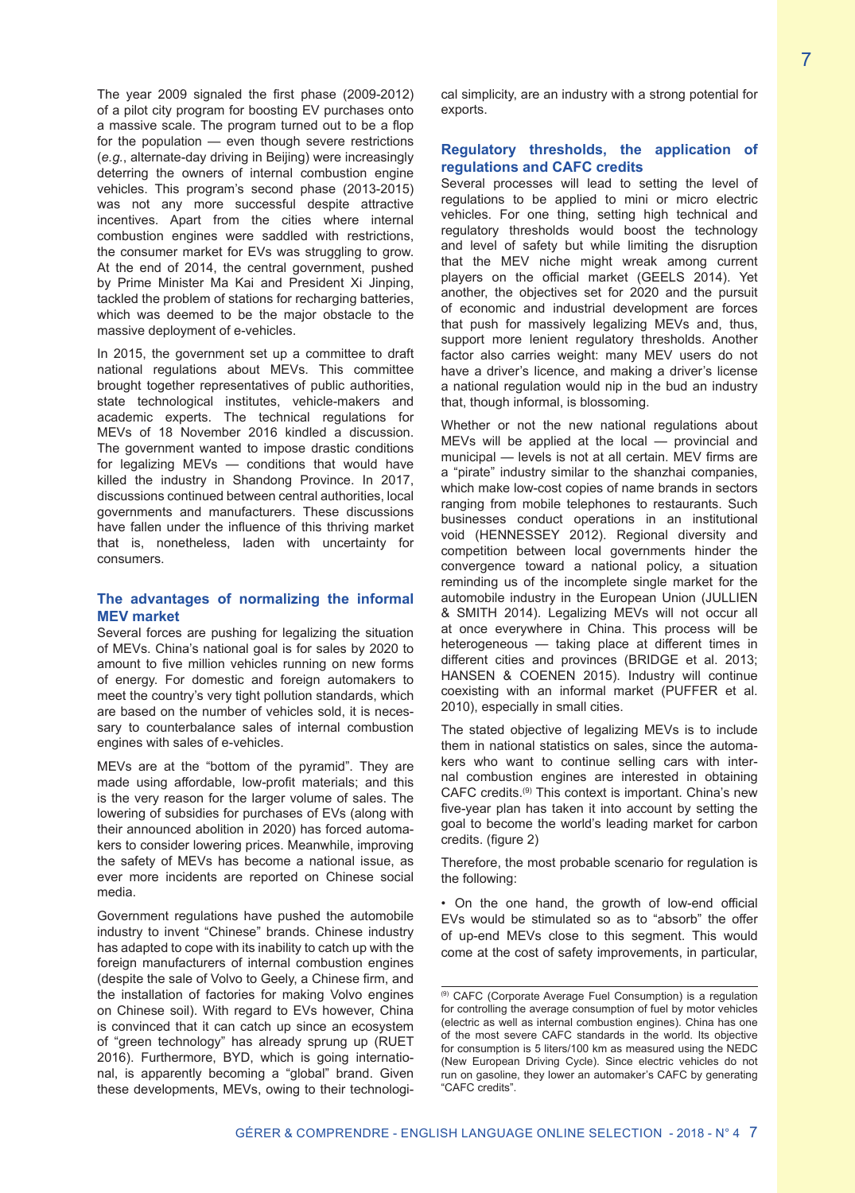The year 2009 signaled the first phase (2009-2012) of a pilot city program for boosting EV purchases onto a massive scale. The program turned out to be a flop for the population — even though severe restrictions (*e.g.*, alternate-day driving in Beijing) were increasingly deterring the owners of internal combustion engine vehicles. This program's second phase (2013-2015) was not any more successful despite attractive incentives. Apart from the cities where internal combustion engines were saddled with restrictions, the consumer market for EVs was struggling to grow. At the end of 2014, the central government, pushed by Prime Minister Ma Kai and President Xi Jinping, tackled the problem of stations for recharging batteries, which was deemed to be the major obstacle to the massive deployment of e-vehicles.

In 2015, the government set up a committee to draft national regulations about MEVs. This committee brought together representatives of public authorities, state technological institutes, vehicle-makers and academic experts. The technical regulations for MEVs of 18 November 2016 kindled a discussion. The government wanted to impose drastic conditions for legalizing MEVs — conditions that would have killed the industry in Shandong Province. In 2017, discussions continued between central authorities, local governments and manufacturers. These discussions have fallen under the influence of this thriving market that is, nonetheless, laden with uncertainty for consumers.

#### **The advantages of normalizing the informal MEV market**

Several forces are pushing for legalizing the situation of MEVs. China's national goal is for sales by 2020 to amount to five million vehicles running on new forms of energy. For domestic and foreign automakers to meet the country's very tight pollution standards, which are based on the number of vehicles sold, it is necessary to counterbalance sales of internal combustion engines with sales of e-vehicles.

MEVs are at the "bottom of the pyramid". They are made using affordable, low-profit materials; and this is the very reason for the larger volume of sales. The lowering of subsidies for purchases of EVs (along with their announced abolition in 2020) has forced automakers to consider lowering prices. Meanwhile, improving the safety of MEVs has become a national issue, as ever more incidents are reported on Chinese social media.

Government regulations have pushed the automobile industry to invent "Chinese" brands. Chinese industry has adapted to cope with its inability to catch up with the foreign manufacturers of internal combustion engines (despite the sale of Volvo to Geely, a Chinese firm, and the installation of factories for making Volvo engines on Chinese soil). With regard to EVs however, China is convinced that it can catch up since an ecosystem of "green technology" has already sprung up (RUET 2016). Furthermore, BYD, which is going international, is apparently becoming a "global" brand. Given these developments, MEVs, owing to their technological simplicity, are an industry with a strong potential for exports.

#### **Regulatory thresholds, the application of regulations and CAFC credits**

Several processes will lead to setting the level of regulations to be applied to mini or micro electric vehicles. For one thing, setting high technical and regulatory thresholds would boost the technology and level of safety but while limiting the disruption that the MEV niche might wreak among current players on the official market (GEELS 2014). Yet another, the objectives set for 2020 and the pursuit of economic and industrial development are forces that push for massively legalizing MEVs and, thus, support more lenient regulatory thresholds. Another factor also carries weight: many MEV users do not have a driver's licence, and making a driver's license a national regulation would nip in the bud an industry that, though informal, is blossoming.

Whether or not the new national regulations about MEVs will be applied at the local — provincial and municipal — levels is not at all certain. MEV firms are a "pirate" industry similar to the shanzhai companies, which make low-cost copies of name brands in sectors ranging from mobile telephones to restaurants. Such businesses conduct operations in an institutional void (HENNESSEY 2012). Regional diversity and competition between local governments hinder the convergence toward a national policy, a situation reminding us of the incomplete single market for the automobile industry in the European Union (JULLIEN & SMITH 2014). Legalizing MEVs will not occur all at once everywhere in China. This process will be heterogeneous — taking place at different times in different cities and provinces (BRIDGE et al. 2013; HANSEN & COENEN 2015). Industry will continue coexisting with an informal market (PUFFER et al. 2010), especially in small cities.

The stated objective of legalizing MEVs is to include them in national statistics on sales, since the automakers who want to continue selling cars with internal combustion engines are interested in obtaining CAFC credits.(9) This context is important. China's new five-year plan has taken it into account by setting the goal to become the world's leading market for carbon credits. (figure 2)

Therefore, the most probable scenario for regulation is the following:

• On the one hand, the growth of low-end official EVs would be stimulated so as to "absorb" the offer of up-end MEVs close to this segment. This would come at the cost of safety improvements, in particular,

<sup>(9)</sup> CAFC (Corporate Average Fuel Consumption) is a regulation for controlling the average consumption of fuel by motor vehicles (electric as well as internal combustion engines). China has one of the most severe CAFC standards in the world. Its objective for consumption is 5 liters/100 km as measured using the NEDC (New European Driving Cycle). Since electric vehicles do not run on gasoline, they lower an automaker's CAFC by generating "CAFC credits".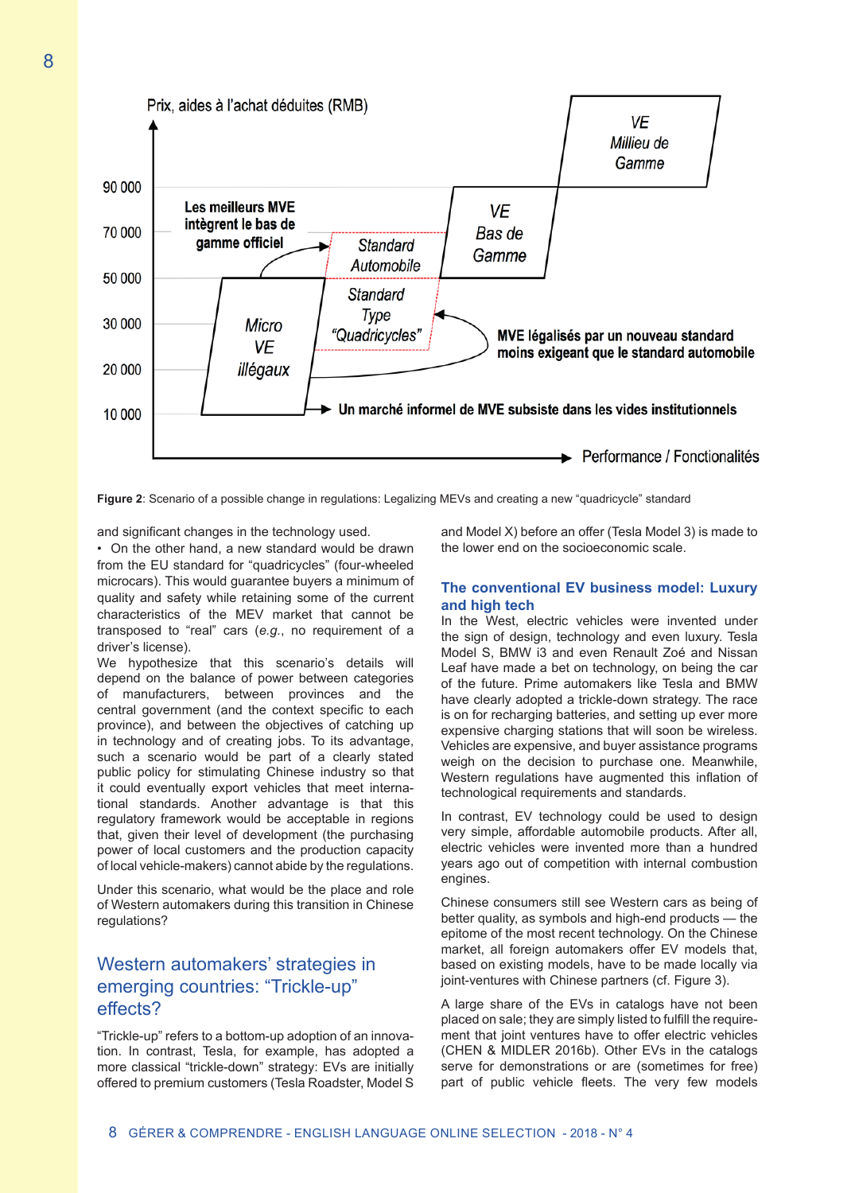

**Figure 2**: Scenario of a possible change in regulations: Legalizing MEVs and creating a new "quadricycle" standard

and significant changes in the technology used.

• On the other hand, a new standard would be drawn from the EU standard for "quadricycles" (four-wheeled microcars). This would guarantee buyers a minimum of quality and safety while retaining some of the current characteristics of the MEV market that cannot be transposed to "real" cars (*e.g.*, no requirement of a driver's license).

We hypothesize that this scenario's details will depend on the balance of power between categories of manufacturers, between provinces and the central government (and the context specific to each province), and between the objectives of catching up in technology and of creating jobs. To its advantage, such a scenario would be part of a clearly stated public policy for stimulating Chinese industry so that it could eventually export vehicles that meet international standards. Another advantage is that this regulatory framework would be acceptable in regions that, given their level of development (the purchasing power of local customers and the production capacity of local vehicle-makers) cannot abide by the regulations.

Under this scenario, what would be the place and role of Western automakers during this transition in Chinese regulations?

# Western automakers' strategies in emerging countries: "Trickle-up" effects?

"Trickle-up" refers to a bottom-up adoption of an innovation. In contrast, Tesla, for example, has adopted a more classical "trickle-down" strategy: EVs are initially offered to premium customers (Tesla Roadster, Model S

and Model X) before an offer (Tesla Model 3) is made to the lower end on the socioeconomic scale.

#### **The conventional EV business model: Luxury and high tech**

In the West, electric vehicles were invented under the sign of design, technology and even luxury. Tesla Model S, BMW i3 and even Renault Zoé and Nissan Leaf have made a bet on technology, on being the car of the future. Prime automakers like Tesla and BMW have clearly adopted a trickle-down strategy. The race is on for recharging batteries, and setting up ever more expensive charging stations that will soon be wireless. Vehicles are expensive, and buyer assistance programs weigh on the decision to purchase one. Meanwhile, Western regulations have augmented this inflation of technological requirements and standards.

In contrast, EV technology could be used to design very simple, affordable automobile products. After all, electric vehicles were invented more than a hundred years ago out of competition with internal combustion engines.

Chinese consumers still see Western cars as being of better quality, as symbols and high-end products — the epitome of the most recent technology. On the Chinese market, all foreign automakers offer EV models that, based on existing models, have to be made locally via joint-ventures with Chinese partners (cf. Figure 3).

A large share of the EVs in catalogs have not been placed on sale; they are simply listed to fulfill the requirement that joint ventures have to offer electric vehicles (CHEN & MIDLER 2016b). Other EVs in the catalogs serve for demonstrations or are (sometimes for free) part of public vehicle fleets. The very few models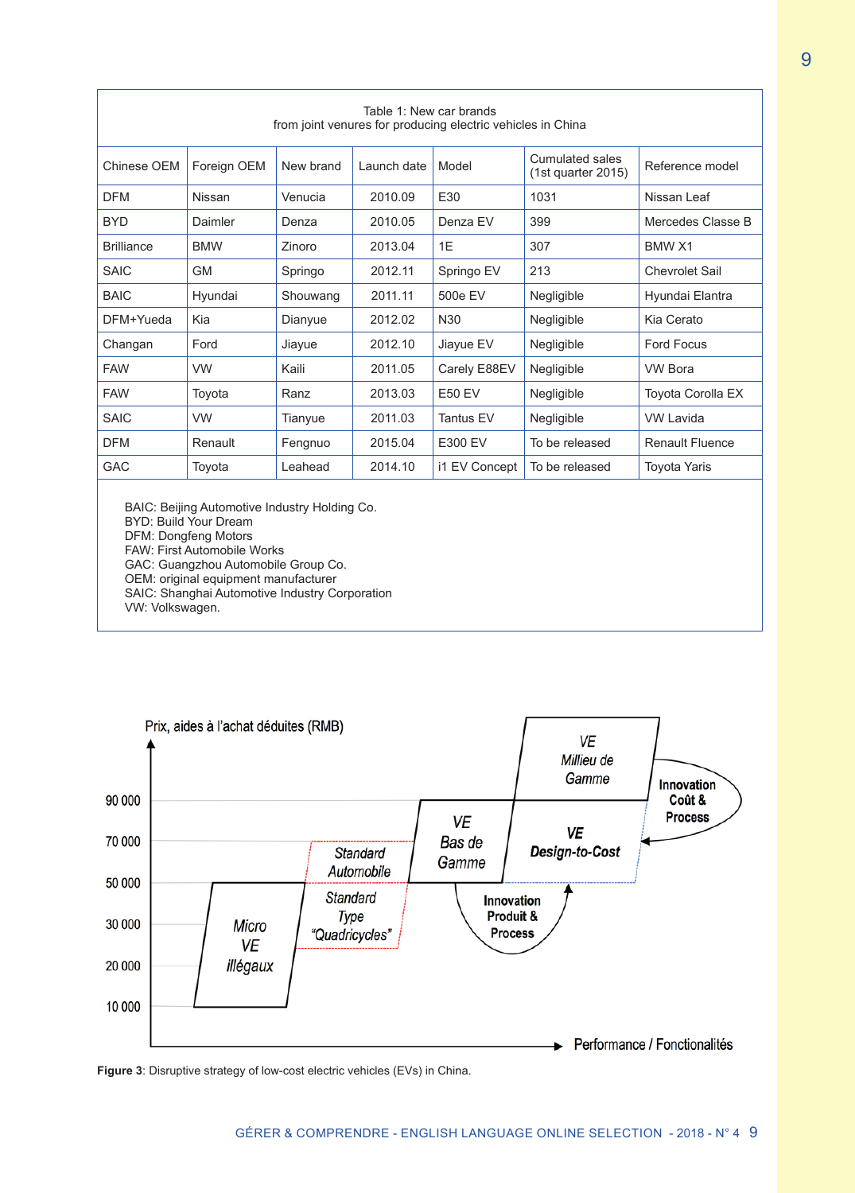| Table 1: New car brands<br>from joint venures for producing electric vehicles in China |               |               |             |                  |                                       |                        |
|----------------------------------------------------------------------------------------|---------------|---------------|-------------|------------------|---------------------------------------|------------------------|
| Chinese OEM                                                                            | Foreign OEM   | New brand     | Launch date | Model            | Cumulated sales<br>(1st quarter 2015) | Reference model        |
| <b>DFM</b>                                                                             | <b>Nissan</b> | Venucia       | 2010.09     | E30              | 1031                                  | Nissan Leaf            |
| <b>BYD</b>                                                                             | Daimler       | Denza         | 2010.05     | Denza EV         | 399                                   | Mercedes Classe B      |
| <b>Brilliance</b>                                                                      | <b>BMW</b>    | <b>Zinoro</b> | 2013.04     | 1F               | 307                                   | <b>BMW X1</b>          |
| <b>SAIC</b>                                                                            | <b>GM</b>     | Springo       | 2012.11     | Springo EV       | 213                                   | <b>Chevrolet Sail</b>  |
| <b>BAIC</b>                                                                            | Hyundai       | Shouwang      | 2011.11     | 500e EV          | Negligible                            | Hyundai Elantra        |
| DFM+Yueda                                                                              | Kia           | Dianyue       | 2012.02     | N30              | Negligible                            | Kia Cerato             |
| Changan                                                                                | Ford          | Jiayue        | 2012.10     | Jiayue EV        | Negligible                            | <b>Ford Focus</b>      |
| <b>FAW</b>                                                                             | <b>VW</b>     | Kaili         | 2011.05     | Carely E88EV     | Negligible                            | <b>VW Bora</b>         |
| <b>FAW</b>                                                                             | Toyota        | Ranz          | 2013.03     | <b>E50 EV</b>    | Negligible                            | Toyota Corolla EX      |
| <b>SAIC</b>                                                                            | <b>VW</b>     | Tianyue       | 2011.03     | <b>Tantus EV</b> | Negligible                            | <b>VW Lavida</b>       |
| <b>DFM</b>                                                                             | Renault       | Fengnuo       | 2015.04     | E300 EV          | To be released                        | <b>Renault Fluence</b> |
| <b>GAC</b>                                                                             | Toyota        | I eahead      | 2014.10     | i1 EV Concept    | To be released                        | <b>Toyota Yaris</b>    |

BAIC: Beijing Automotive Industry Holding Co. BYD: Build Your Dream DFM: Dongfeng Motors FAW: First Automobile Works GAC: Guangzhou Automobile Group Co. OEM: original equipment manufacturer SAIC: Shanghai Automotive Industry Corporation

VW: Volkswagen.



**Figure 3**: Disruptive strategy of low-cost electric vehicles (EVs) in China.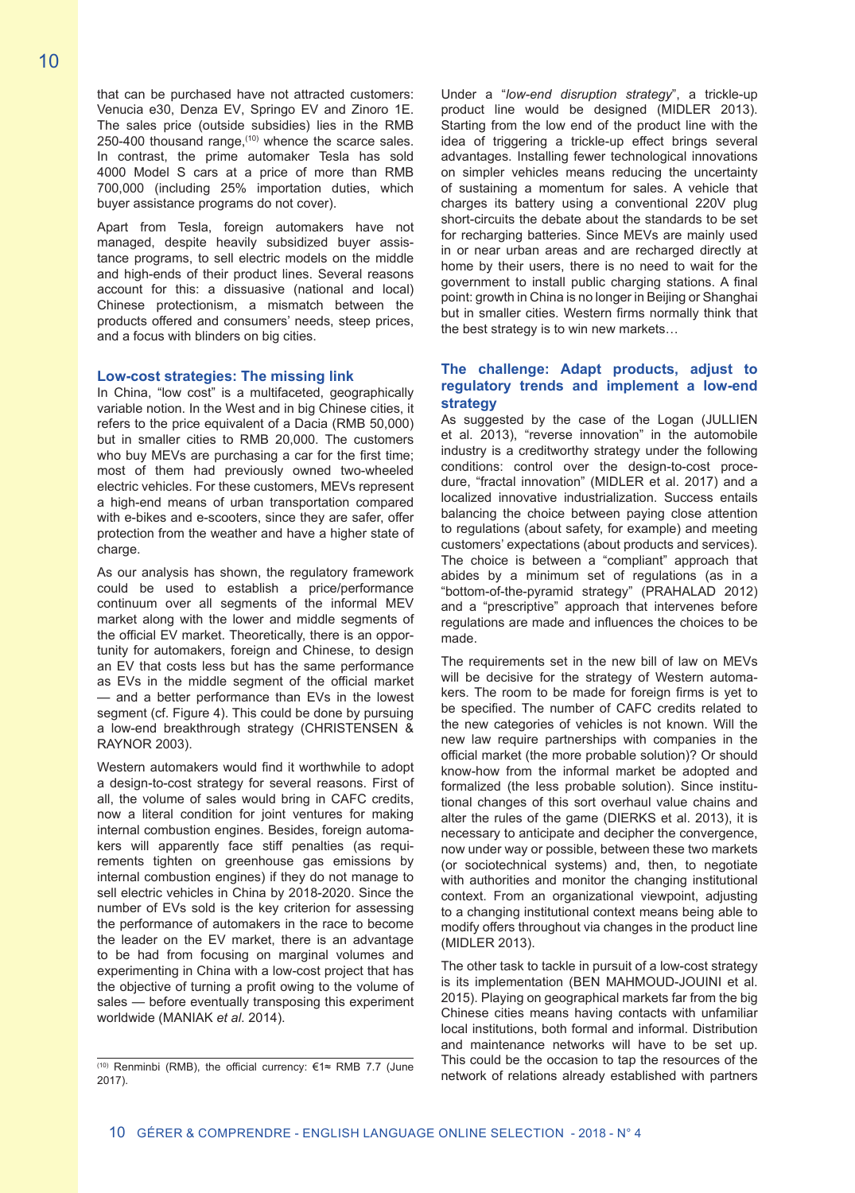that can be purchased have not attracted customers: Venucia e30, Denza EV, Springo EV and Zinoro 1E. The sales price (outside subsidies) lies in the RMB  $250-400$  thousand range,<sup> $(10)$ </sup> whence the scarce sales. In contrast, the prime automaker Tesla has sold 4000 Model S cars at a price of more than RMB 700,000 (including 25% importation duties, which buyer assistance programs do not cover).

Apart from Tesla, foreign automakers have not managed, despite heavily subsidized buyer assistance programs, to sell electric models on the middle and high-ends of their product lines. Several reasons account for this: a dissuasive (national and local) Chinese protectionism, a mismatch between the products offered and consumers' needs, steep prices, and a focus with blinders on big cities.

#### **Low-cost strategies: The missing link**

In China, "low cost" is a multifaceted, geographically variable notion. In the West and in big Chinese cities, it refers to the price equivalent of a Dacia (RMB 50,000) but in smaller cities to RMB 20,000. The customers who buy MEVs are purchasing a car for the first time; most of them had previously owned two-wheeled electric vehicles. For these customers, MEVs represent a high-end means of urban transportation compared with e-bikes and e-scooters, since they are safer, offer protection from the weather and have a higher state of charge.

As our analysis has shown, the regulatory framework could be used to establish a price/performance continuum over all segments of the informal MEV market along with the lower and middle segments of the official EV market. Theoretically, there is an opportunity for automakers, foreign and Chinese, to design an EV that costs less but has the same performance as EVs in the middle segment of the official market — and a better performance than EVs in the lowest segment (cf. Figure 4). This could be done by pursuing a low-end breakthrough strategy (CHRISTENSEN & RAYNOR 2003).

Western automakers would find it worthwhile to adopt a design-to-cost strategy for several reasons. First of all, the volume of sales would bring in CAFC credits, now a literal condition for joint ventures for making internal combustion engines. Besides, foreign automakers will apparently face stiff penalties (as requirements tighten on greenhouse gas emissions by internal combustion engines) if they do not manage to sell electric vehicles in China by 2018-2020. Since the number of EVs sold is the key criterion for assessing the performance of automakers in the race to become the leader on the EV market, there is an advantage to be had from focusing on marginal volumes and experimenting in China with a low-cost project that has the objective of turning a profit owing to the volume of sales — before eventually transposing this experiment worldwide (MANIAK *et al*. 2014).

Under a "*low-end disruption strategy*", a trickle-up product line would be designed (MIDLER 2013). Starting from the low end of the product line with the idea of triggering a trickle-up effect brings several advantages. Installing fewer technological innovations on simpler vehicles means reducing the uncertainty of sustaining a momentum for sales. A vehicle that charges its battery using a conventional 220V plug short-circuits the debate about the standards to be set for recharging batteries. Since MEVs are mainly used in or near urban areas and are recharged directly at home by their users, there is no need to wait for the government to install public charging stations. A final point: growth in China is no longer in Beijing or Shanghai but in smaller cities. Western firms normally think that the best strategy is to win new markets…

#### **The challenge: Adapt products, adjust to regulatory trends and implement a low-end strategy**

As suggested by the case of the Logan (JULLIEN et al. 2013), "reverse innovation" in the automobile industry is a creditworthy strategy under the following conditions: control over the design-to-cost procedure, "fractal innovation" (MIDLER et al. 2017) and a localized innovative industrialization. Success entails balancing the choice between paying close attention to regulations (about safety, for example) and meeting customers' expectations (about products and services). The choice is between a "compliant" approach that abides by a minimum set of regulations (as in a "bottom-of-the-pyramid strategy" (PRAHALAD 2012) and a "prescriptive" approach that intervenes before regulations are made and influences the choices to be made.

The requirements set in the new bill of law on MEVs will be decisive for the strategy of Western automakers. The room to be made for foreign firms is yet to be specified. The number of CAFC credits related to the new categories of vehicles is not known. Will the new law require partnerships with companies in the official market (the more probable solution)? Or should know-how from the informal market be adopted and formalized (the less probable solution). Since institutional changes of this sort overhaul value chains and alter the rules of the game (DIERKS et al. 2013), it is necessary to anticipate and decipher the convergence, now under way or possible, between these two markets (or sociotechnical systems) and, then, to negotiate with authorities and monitor the changing institutional context. From an organizational viewpoint, adjusting to a changing institutional context means being able to modify offers throughout via changes in the product line (MIDLER 2013).

The other task to tackle in pursuit of a low-cost strategy is its implementation (BEN MAHMOUD-JOUINI et al. 2015). Playing on geographical markets far from the big Chinese cities means having contacts with unfamiliar local institutions, both formal and informal. Distribution and maintenance networks will have to be set up. This could be the occasion to tap the resources of the network of relations already established with partners

<sup>(10)</sup> Renminbi (RMB), the official currency: €1≈ RMB 7.7 (June 2017).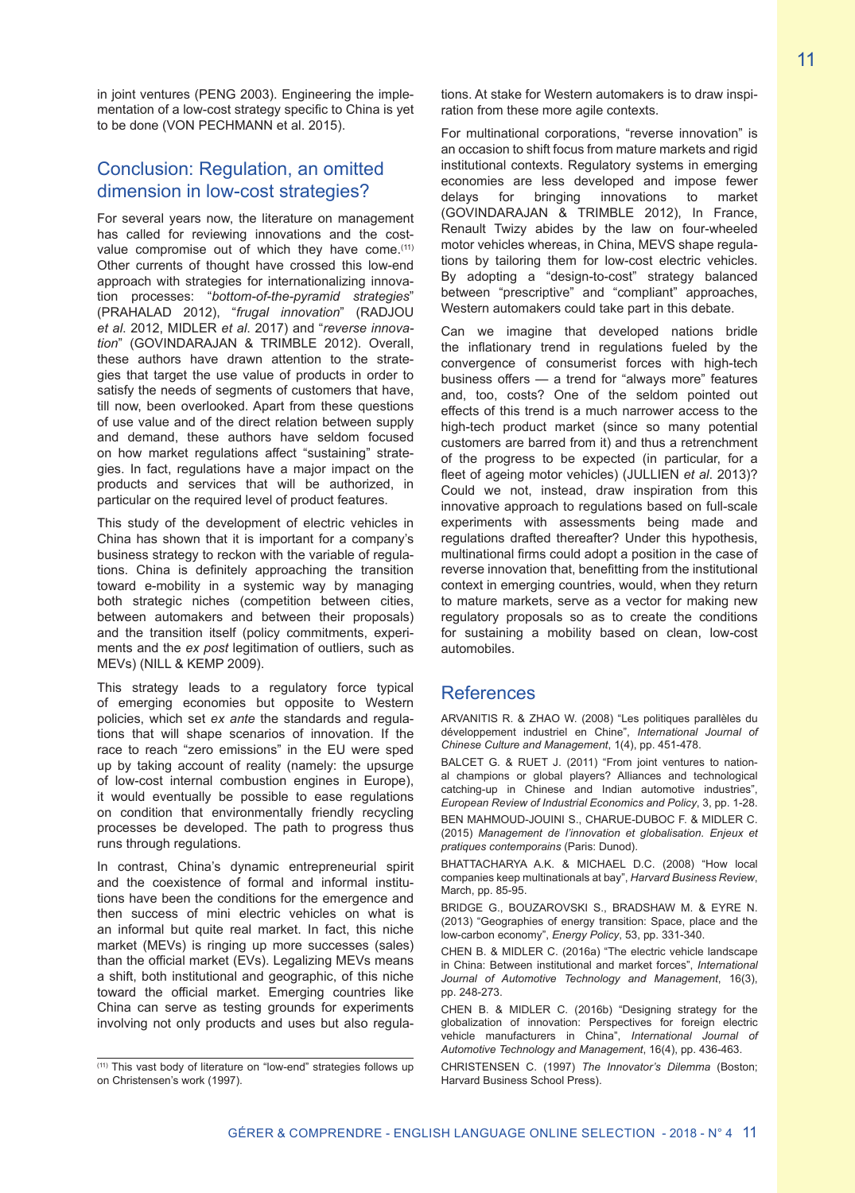in joint ventures (PENG 2003). Engineering the implementation of a low-cost strategy specific to China is yet to be done (VON PECHMANN et al. 2015).

## Conclusion: Regulation, an omitted dimension in low-cost strategies?

For several years now, the literature on management has called for reviewing innovations and the costvalue compromise out of which they have come.<sup>(11)</sup> Other currents of thought have crossed this low-end approach with strategies for internationalizing innovation processes: "*bottom-of-the-pyramid strategies*" (PRAHALAD 2012), "*frugal innovation*" (RADJOU *et al*. 2012, MIDLER *et al*. 2017) and "*reverse innovation*" (GOVINDARAJAN & TRIMBLE 2012). Overall, these authors have drawn attention to the strategies that target the use value of products in order to satisfy the needs of segments of customers that have, till now, been overlooked. Apart from these questions of use value and of the direct relation between supply and demand, these authors have seldom focused on how market regulations affect "sustaining" strategies. In fact, regulations have a major impact on the products and services that will be authorized, in particular on the required level of product features.

This study of the development of electric vehicles in China has shown that it is important for a company's business strategy to reckon with the variable of regulations. China is definitely approaching the transition toward e-mobility in a systemic way by managing both strategic niches (competition between cities, between automakers and between their proposals) and the transition itself (policy commitments, experiments and the *ex post* legitimation of outliers, such as MEVs) (NILL & KEMP 2009).

This strategy leads to a regulatory force typical of emerging economies but opposite to Western policies, which set *ex ante* the standards and regulations that will shape scenarios of innovation. If the race to reach "zero emissions" in the EU were sped up by taking account of reality (namely: the upsurge of low-cost internal combustion engines in Europe), it would eventually be possible to ease regulations on condition that environmentally friendly recycling processes be developed. The path to progress thus runs through regulations.

In contrast, China's dynamic entrepreneurial spirit and the coexistence of formal and informal institutions have been the conditions for the emergence and then success of mini electric vehicles on what is an informal but quite real market. In fact, this niche market (MEVs) is ringing up more successes (sales) than the official market (EVs). Legalizing MEVs means a shift, both institutional and geographic, of this niche toward the official market. Emerging countries like China can serve as testing grounds for experiments involving not only products and uses but also regulations. At stake for Western automakers is to draw inspiration from these more agile contexts.

For multinational corporations, "reverse innovation" is an occasion to shift focus from mature markets and rigid institutional contexts. Regulatory systems in emerging economies are less developed and impose fewer delays for bringing innovations to market (GOVINDARAJAN & TRIMBLE 2012), In France, Renault Twizy abides by the law on four-wheeled motor vehicles whereas, in China, MEVS shape regulations by tailoring them for low-cost electric vehicles. By adopting a "design-to-cost" strategy balanced between "prescriptive" and "compliant" approaches, Western automakers could take part in this debate.

Can we imagine that developed nations bridle the inflationary trend in regulations fueled by the convergence of consumerist forces with high-tech business offers — a trend for "always more" features and, too, costs? One of the seldom pointed out effects of this trend is a much narrower access to the high-tech product market (since so many potential customers are barred from it) and thus a retrenchment of the progress to be expected (in particular, for a fleet of ageing motor vehicles) (JULLIEN *et al*. 2013)? Could we not, instead, draw inspiration from this innovative approach to regulations based on full-scale experiments with assessments being made and regulations drafted thereafter? Under this hypothesis, multinational firms could adopt a position in the case of reverse innovation that, benefitting from the institutional context in emerging countries, would, when they return to mature markets, serve as a vector for making new regulatory proposals so as to create the conditions for sustaining a mobility based on clean, low-cost automobiles.

## **References**

ARVANITIS R. & ZHAO W. (2008) "Les politiques parallèles du développement industriel en Chine", *International Journal of Chinese Culture and Management*, 1(4), pp. 451-478.

BALCET G. & RUET J. (2011) "From joint ventures to national champions or global players? Alliances and technological catching-up in Chinese and Indian automotive industries", *European Review of Industrial Economics and Policy*, 3, pp. 1-28.

BEN MAHMOUD-JOUINI S., CHARUE-DUBOC F. & MIDLER C. (2015) *Management de l'innovation et globalisation. Enjeux et pratiques contemporains* (Paris: Dunod).

BHATTACHARYA A.K. & MICHAEL D.C. (2008) "How local companies keep multinationals at bay", *Harvard Business Review*, March, pp. 85-95.

BRIDGE G., BOUZAROVSKI S., BRADSHAW M. & EYRE N. (2013) "Geographies of energy transition: Space, place and the low-carbon economy", *Energy Policy*, 53, pp. 331-340.

CHEN B. & MIDLER C. (2016a) "The electric vehicle landscape in China: Between institutional and market forces", *International Journal of Automotive Technology and Management*, 16(3), pp. 248-273.

CHEN B. & MIDLER C. (2016b) "Designing strategy for the globalization of innovation: Perspectives for foreign electric vehicle manufacturers in China", *International Journal of Automotive Technology and Management*, 16(4), pp. 436-463.

CHRISTENSEN C. (1997) *The Innovator's Dilemma* (Boston; Harvard Business School Press).

<sup>(11)</sup> This vast body of literature on "low-end" strategies follows up on Christensen's work (1997).